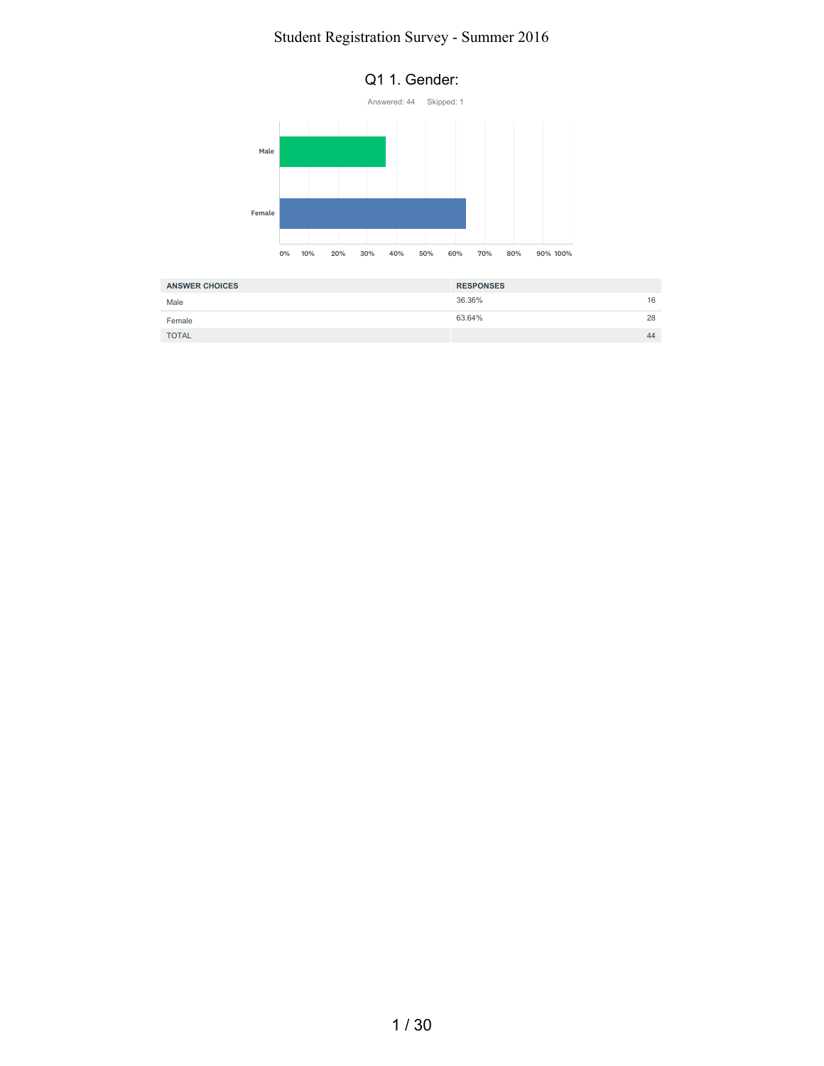



| <b>ANSWER CHOICES</b> | <b>RESPONSES</b> |    |
|-----------------------|------------------|----|
| Male                  | 36.36%           | 16 |
| Female                | 63.64%           | 28 |
| <b>TOTAL</b>          |                  | 44 |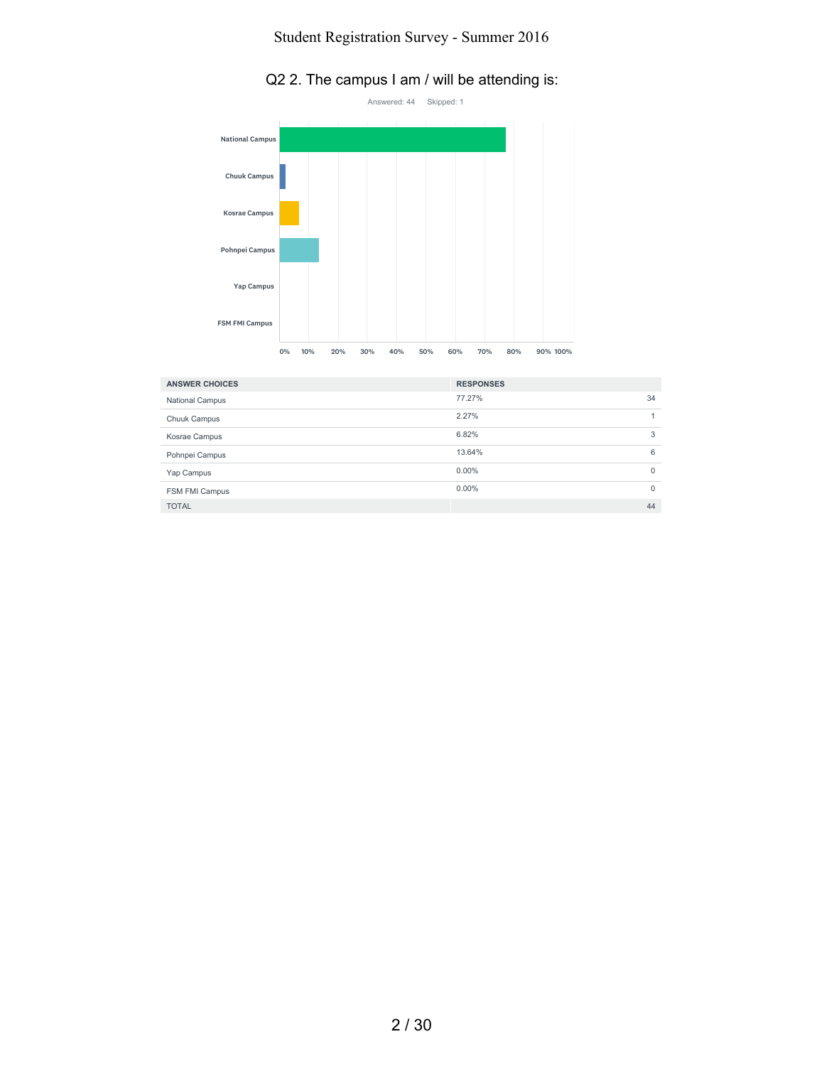## Q2 2. The campus I am / will be attending is:



| <b>ANSWER CHOICES</b>  | <b>RESPONSES</b> |          |
|------------------------|------------------|----------|
| <b>National Campus</b> | 77.27%           | 34       |
| Chuuk Campus           | 2.27%            |          |
| Kosrae Campus          | 6.82%            | 3        |
| Pohnpei Campus         | 13.64%           | 6        |
| Yap Campus             | $0.00\%$         | $\Omega$ |
| FSM FMI Campus         | $0.00\%$         | $\Omega$ |
| <b>TOTAL</b>           |                  | 44       |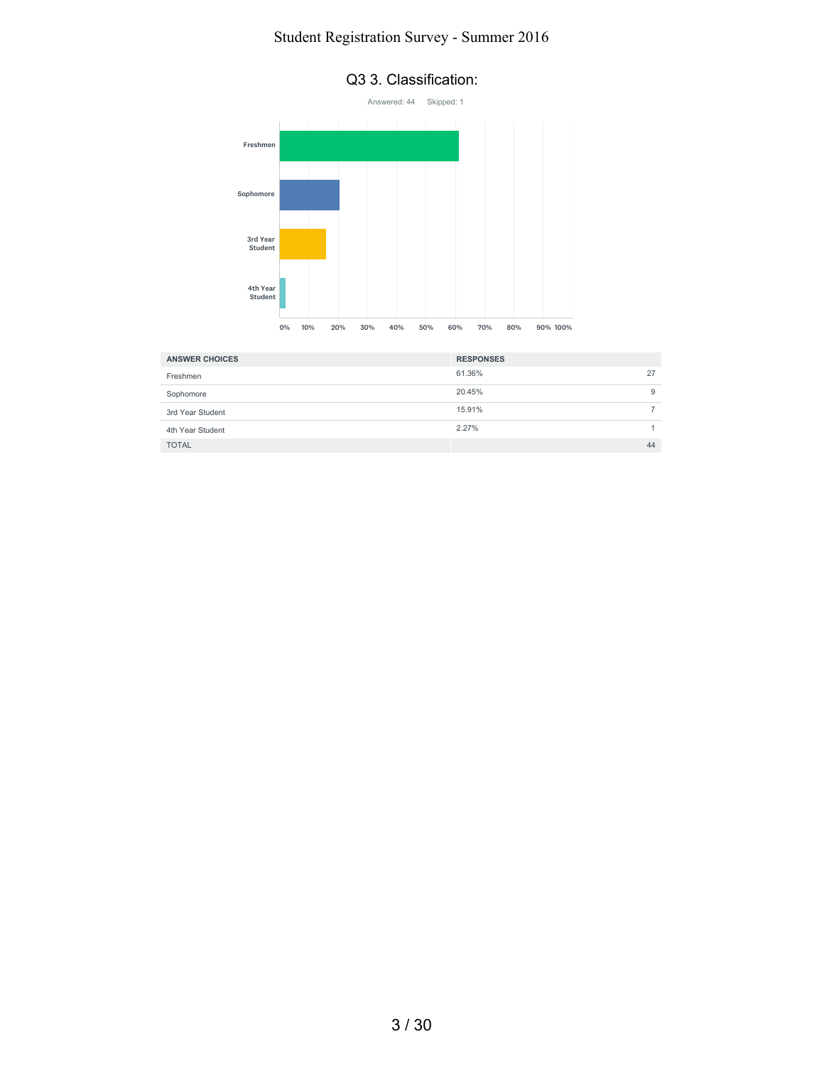

| <b>ANSWER CHOICES</b> | <b>RESPONSES</b> |    |
|-----------------------|------------------|----|
| Freshmen              | 61.36%           | 27 |
| Sophomore             | 20.45%           | 9  |
| 3rd Year Student      | 15.91%           |    |
| 4th Year Student      | 2.27%            |    |
| <b>TOTAL</b>          |                  | 44 |

3 / 30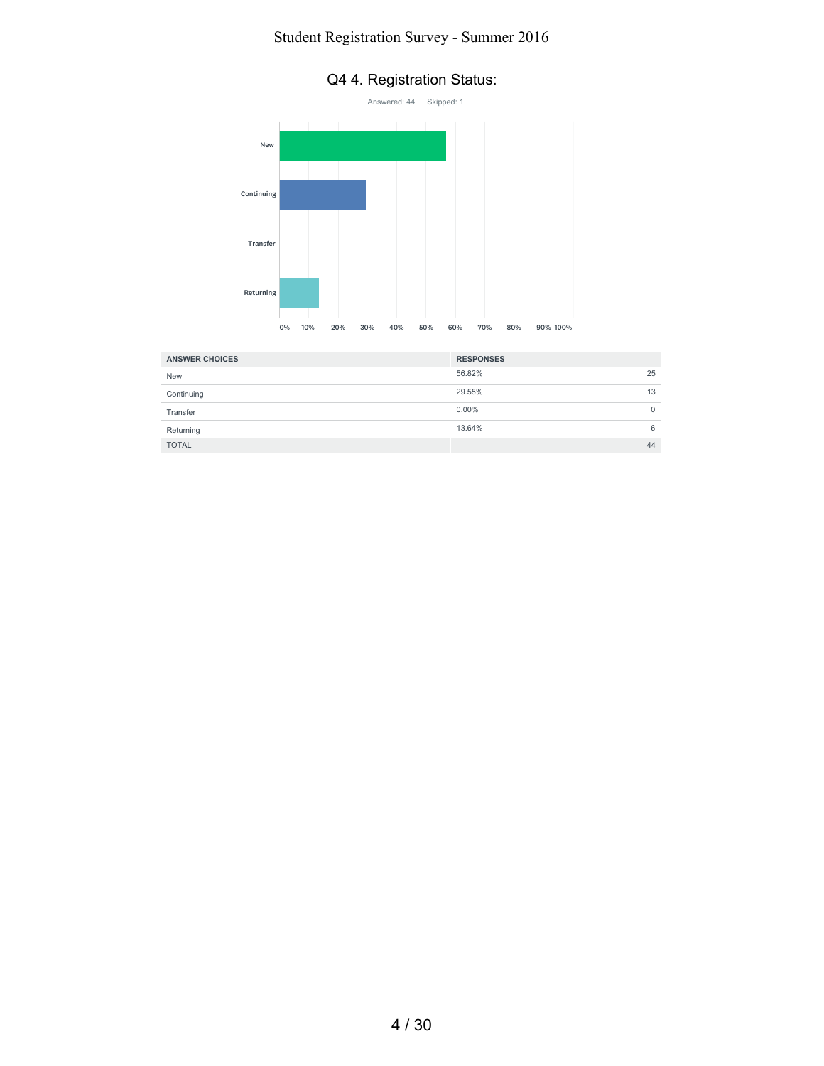

| <b>ANSWER CHOICES</b> | <b>RESPONSES</b> |          |
|-----------------------|------------------|----------|
| <b>New</b>            | 56.82%           | 25       |
| Continuing            | 29.55%           | 13       |
| Transfer              | $0.00\%$         | $\Omega$ |
| Returning             | 13.64%           | 6        |
| <b>TOTAL</b>          | 44               |          |
|                       |                  |          |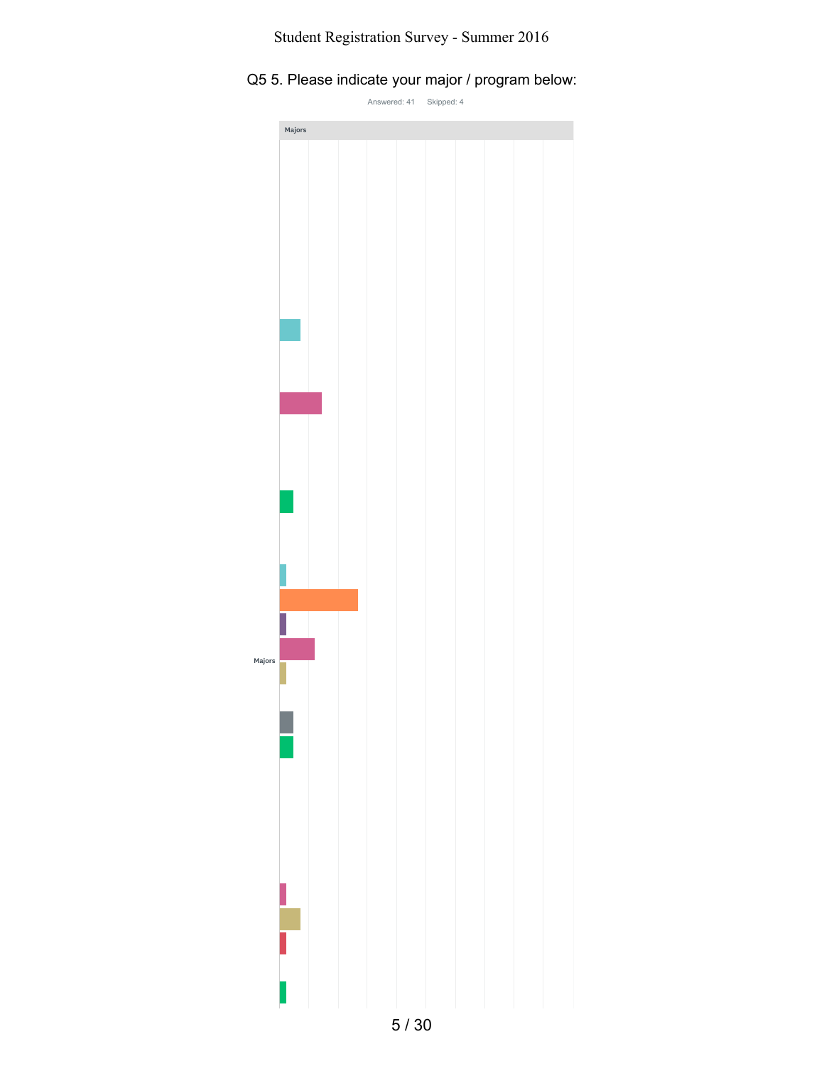Q5 5. Please indicate your major / program below:

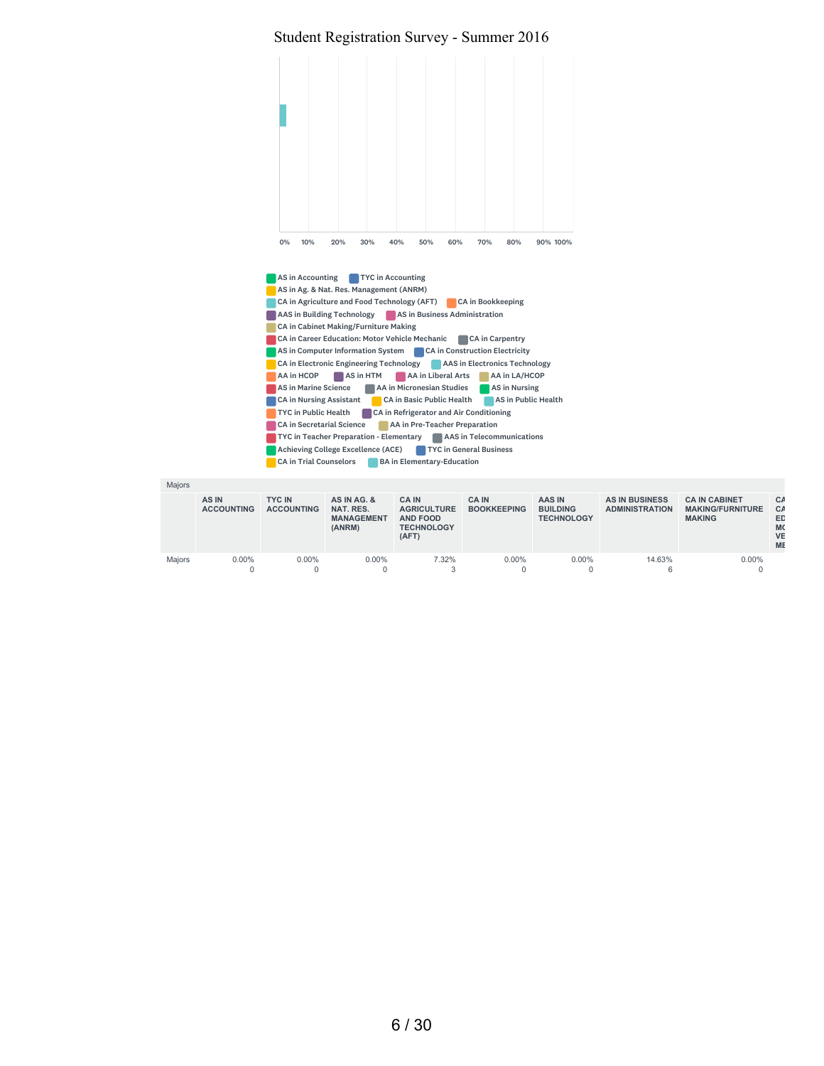

Majors

|               | AS IN<br><b>ACCOUNTING</b> | <b>TYC IN</b><br><b>ACCOUNTING</b> | AS IN AG. &<br>NAT. RES.<br><b>MANAGEMENT</b><br>(ANRM) | <b>CAIN</b><br><b>AGRICULTURE</b><br>AND FOOD<br><b>TECHNOLOGY</b><br>(AFT) | <b>CAIN</b><br><b>BOOKKEEPING</b> | <b>AAS IN</b><br><b>BUILDING</b><br><b>TECHNOLOGY</b> | <b>AS IN BUSINESS</b><br><b>ADMINISTRATION</b> | <b>CA IN CABINET</b><br><b>MAKING/FURNITURE</b><br><b>MAKING</b> | СA<br>$C_A$<br>ED<br><b>M</b><br><b>VE</b><br><b>ME</b> |
|---------------|----------------------------|------------------------------------|---------------------------------------------------------|-----------------------------------------------------------------------------|-----------------------------------|-------------------------------------------------------|------------------------------------------------|------------------------------------------------------------------|---------------------------------------------------------|
| <b>Maiors</b> | $0.00\%$<br>0              | $0.00\%$                           | $0.00\%$                                                | 7.32%                                                                       | $0.00\%$                          | $0.00\%$                                              | 14.63%                                         | $0.00\%$                                                         |                                                         |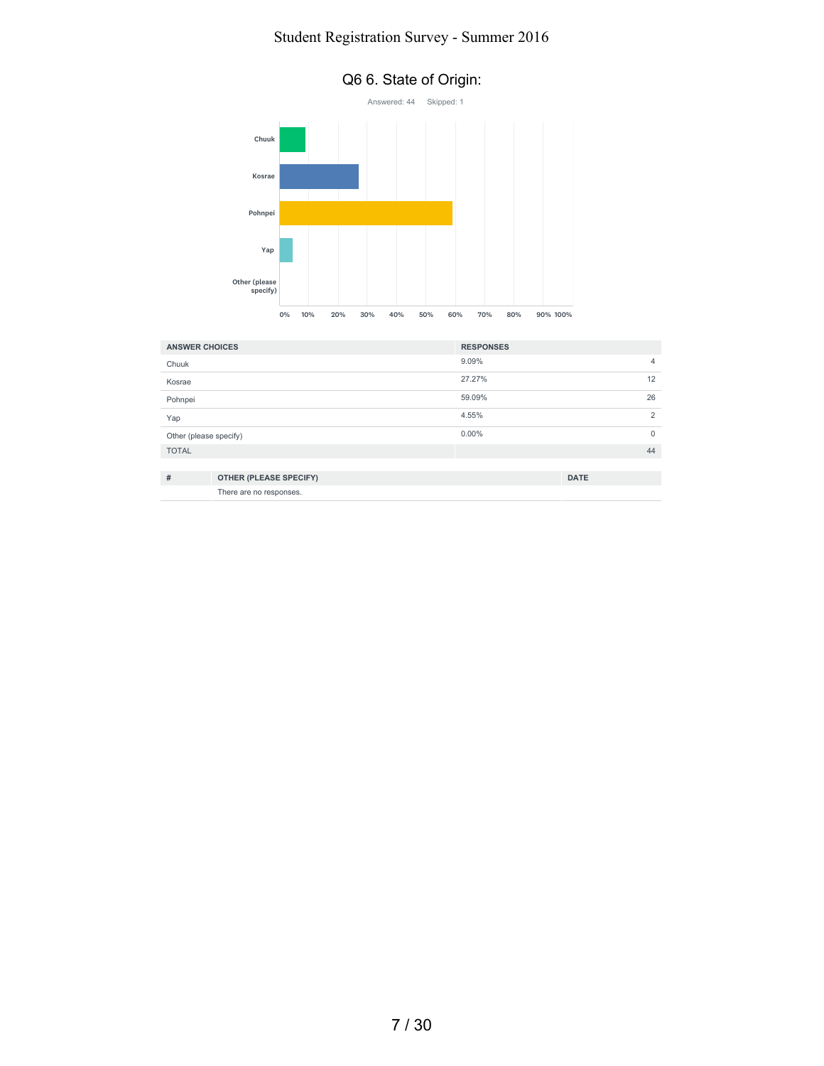

| <b>ANSWER CHOICES</b>  |                               | <b>RESPONSES</b> |                |
|------------------------|-------------------------------|------------------|----------------|
| Chuuk                  |                               | 9.09%            | $\overline{4}$ |
| Kosrae                 |                               | 27.27%           | 12             |
| Pohnpei                |                               | 59.09%           | 26             |
| Yap                    |                               | 4.55%            | 2              |
| Other (please specify) |                               | $0.00\%$         | $\mathbf 0$    |
| <b>TOTAL</b>           |                               |                  | 44             |
|                        |                               |                  |                |
| #                      | <b>OTHER (PLEASE SPECIFY)</b> |                  | <b>DATE</b>    |
|                        | There are no responses.       |                  |                |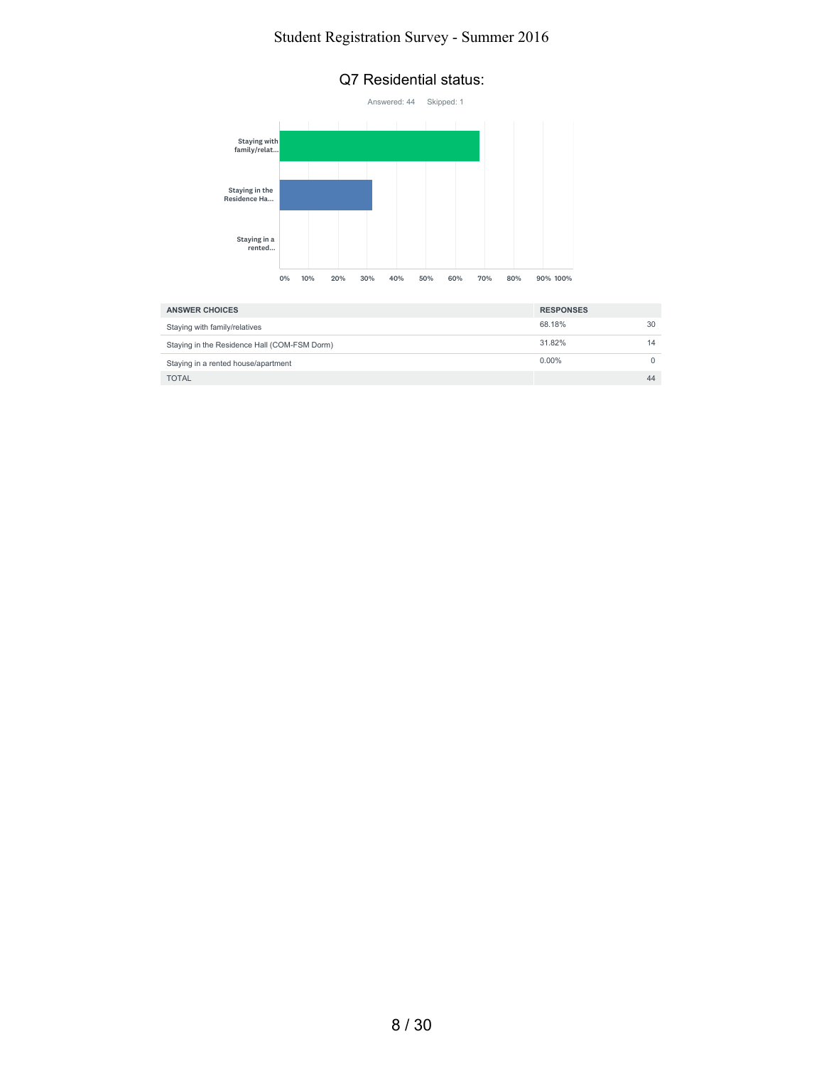

|  | Q7 Residential status: |
|--|------------------------|
|--|------------------------|

| <b>ANSWER CHOICES</b>                        | <b>RESPONSES</b> |    |
|----------------------------------------------|------------------|----|
| Staying with family/relatives                | 68.18%           | 30 |
| Staying in the Residence Hall (COM-FSM Dorm) | 31.82%           | 14 |
| Staying in a rented house/apartment          | $0.00\%$         |    |
| <b>TOTAL</b>                                 |                  | 44 |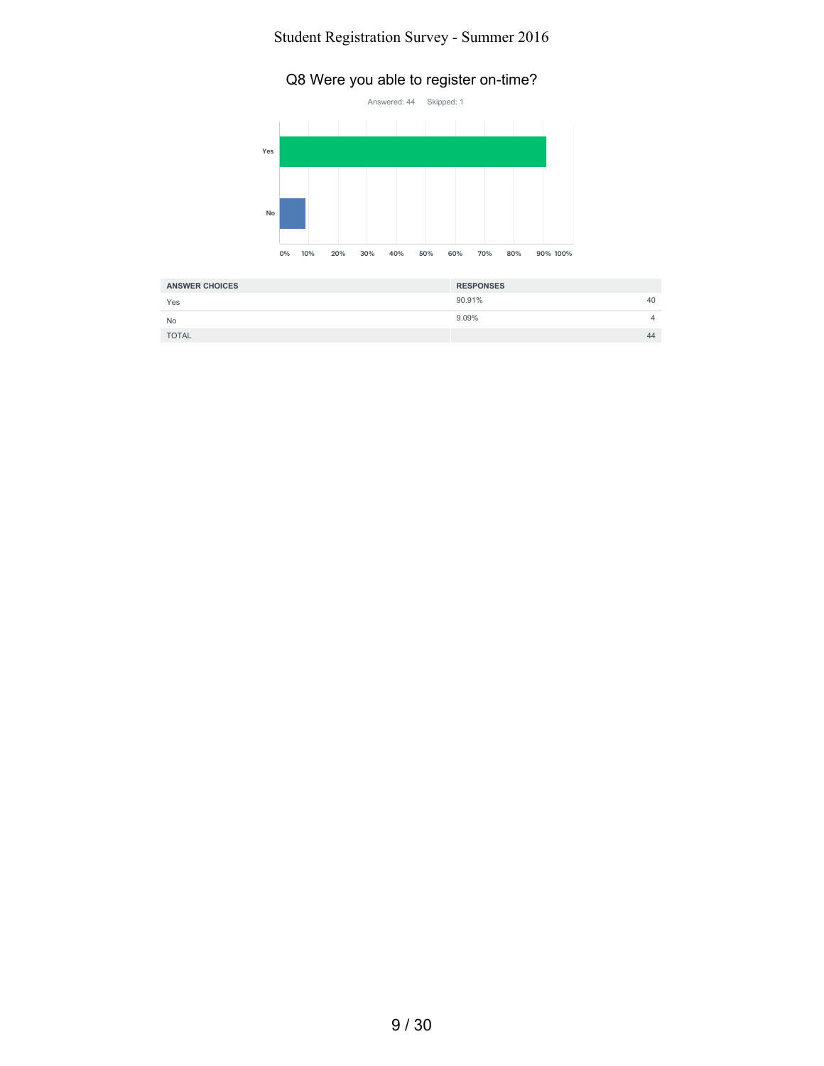# Q8 Were you able to register on-time?



| <b>ANSWER CHOICES</b> | <b>RESPONSES</b> |
|-----------------------|------------------|
| Yes                   | 90.91%<br>40     |
| No                    | 9.09%            |
| <b>TOTAL</b>          | 44               |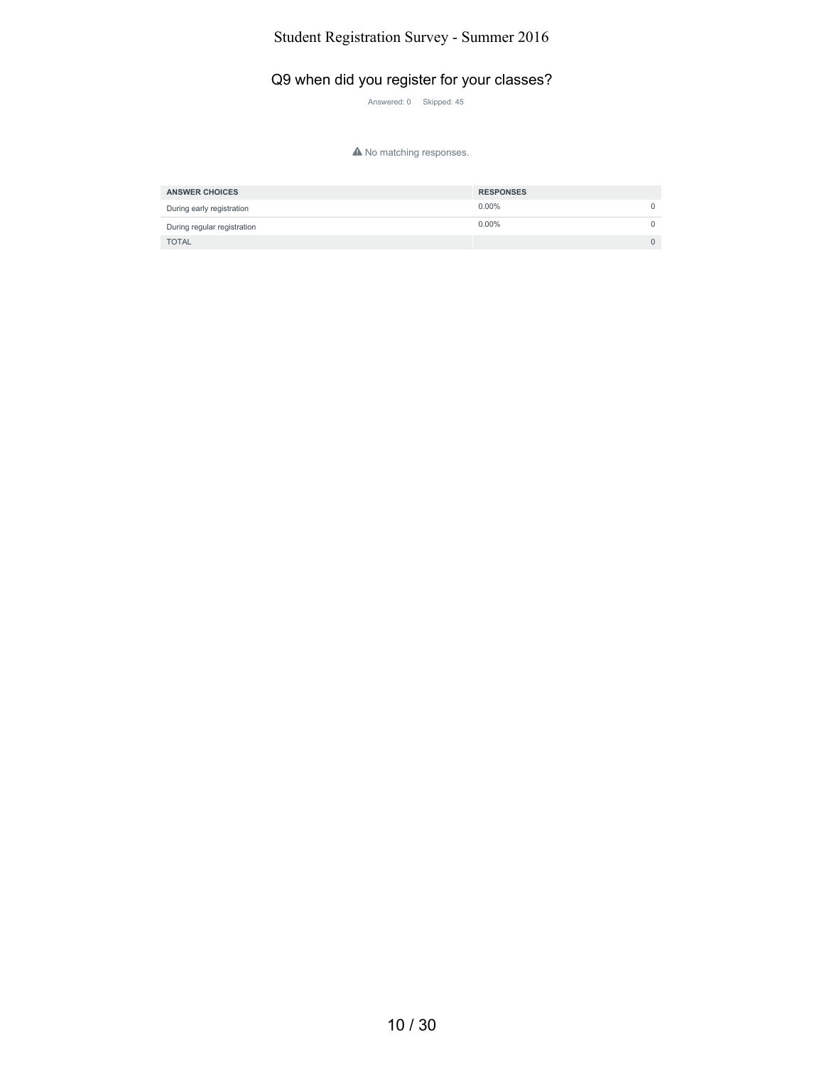# Q9 when did you register for your classes?

Answered: 0 Skipped: 45

A No matching responses.

| <b>ANSWER CHOICES</b>       | <b>RESPONSES</b> |          |
|-----------------------------|------------------|----------|
| During early registration   | $0.00\%$         | 0        |
| During regular registration | $0.00\%$         | 0        |
| <b>TOTAL</b>                |                  | $\Omega$ |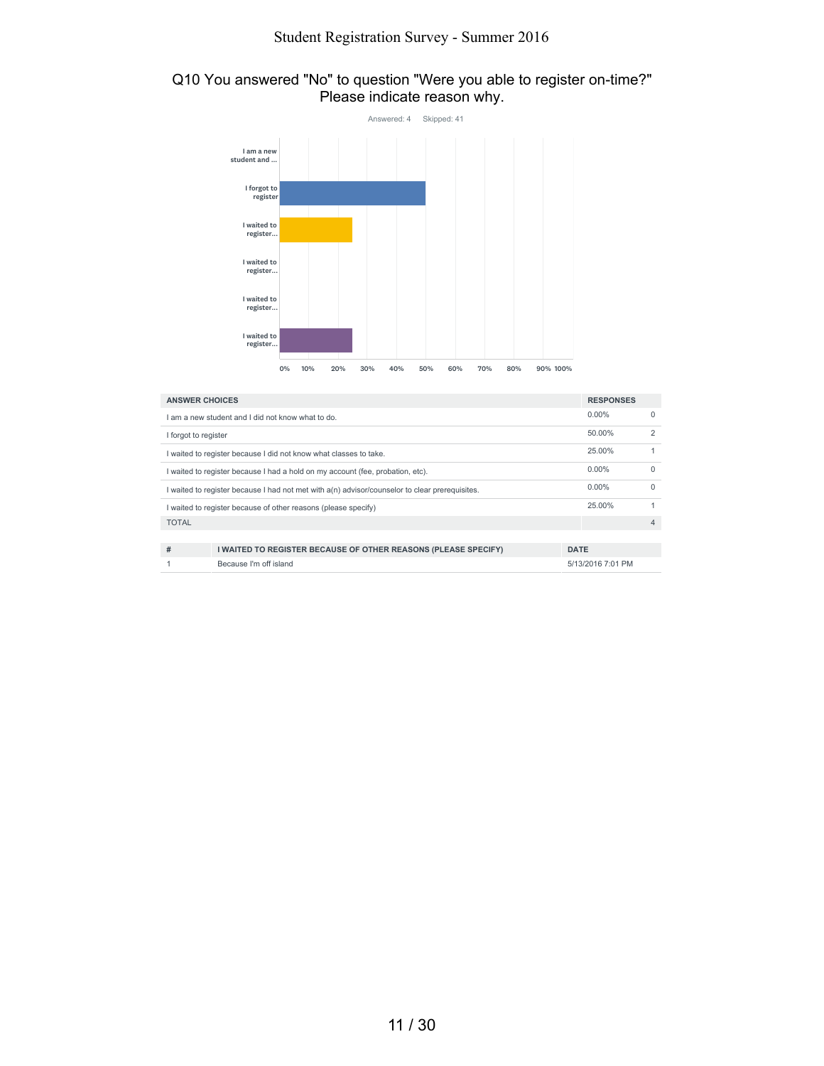#### Q10 You answered "No" to question "Were you able to register on-time?" Please indicate reason why.



| <b>ANSWER CHOICES</b>                                                                                        | <b>RESPONSES</b>  |                |
|--------------------------------------------------------------------------------------------------------------|-------------------|----------------|
| I am a new student and I did not know what to do.                                                            | $0.00\%$          | $\Omega$       |
| I forgot to register                                                                                         | 50.00%            | $\overline{2}$ |
| I waited to register because I did not know what classes to take.                                            | 25.00%            |                |
| $0.00\%$<br>I waited to register because I had a hold on my account (fee, probation, etc).                   |                   |                |
| $0.00\%$<br>I waited to register because I had not met with $a(n)$ advisor/counselor to clear prerequisites. |                   | $\Omega$       |
| 25.00%<br>I waited to register because of other reasons (please specify)                                     |                   |                |
| <b>TOTAL</b>                                                                                                 |                   |                |
|                                                                                                              |                   |                |
| #<br>I WAITED TO REGISTER BECAUSE OF OTHER REASONS (PLEASE SPECIFY)                                          | <b>DATE</b>       |                |
| Because I'm off island                                                                                       | 5/13/2016 7:01 PM |                |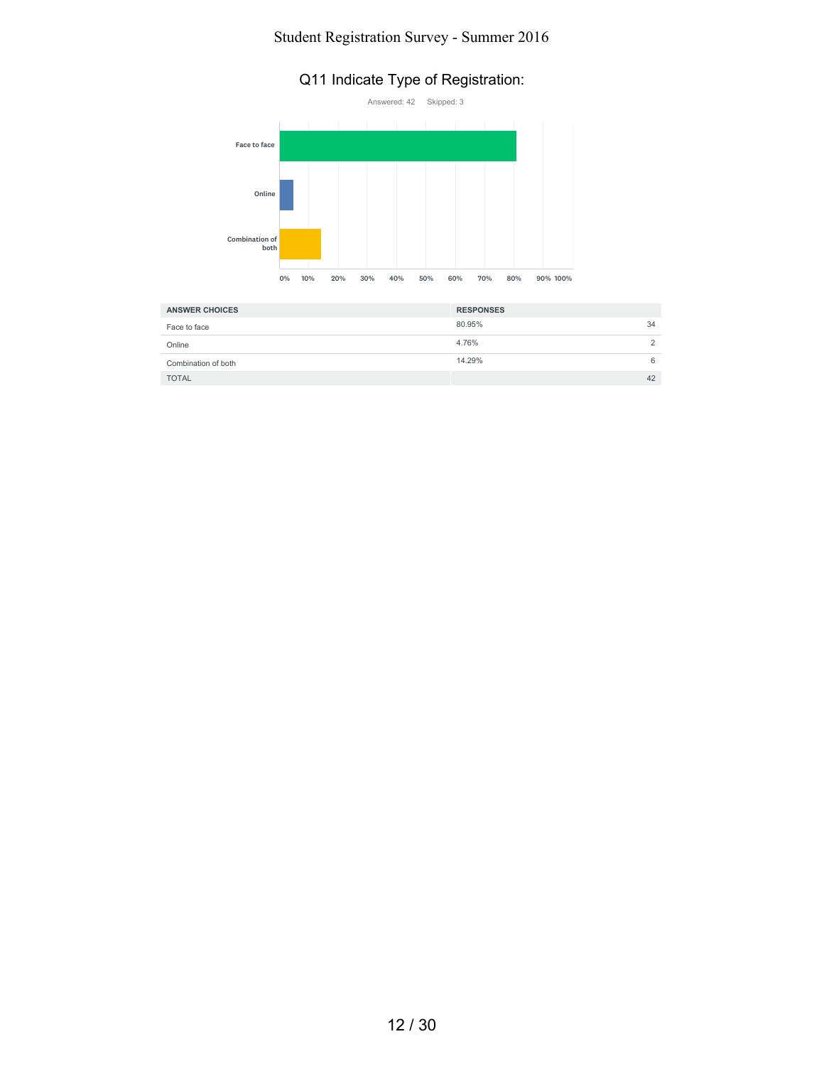## Q11 Indicate Type of Registration:



| <b>ANSWER CHOICES</b> | <b>RESPONSES</b> |
|-----------------------|------------------|
| Face to face          | 80.95%<br>34     |
| Online                | 4.76%            |
| Combination of both   | 14.29%<br>6      |
| <b>TOTAL</b>          | 42               |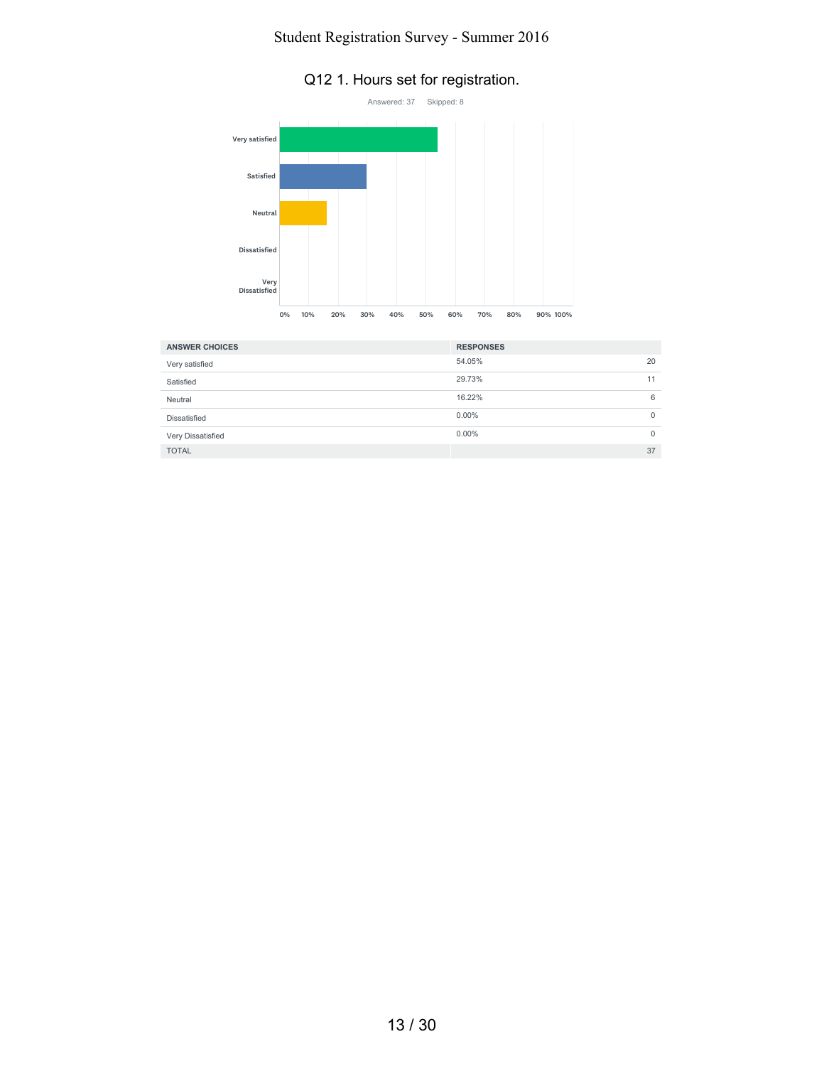## Q12 1. Hours set for registration.



| <b>ANSWER CHOICES</b> | <b>RESPONSES</b> |          |
|-----------------------|------------------|----------|
| Very satisfied        | 54.05%           | 20       |
| Satisfied             | 29.73%           | 11       |
| Neutral               | 16.22%           | 6        |
| Dissatisfied          | $0.00\%$         | 0        |
| Very Dissatisfied     | $0.00\%$         | $\Omega$ |
| <b>TOTAL</b>          |                  | 37       |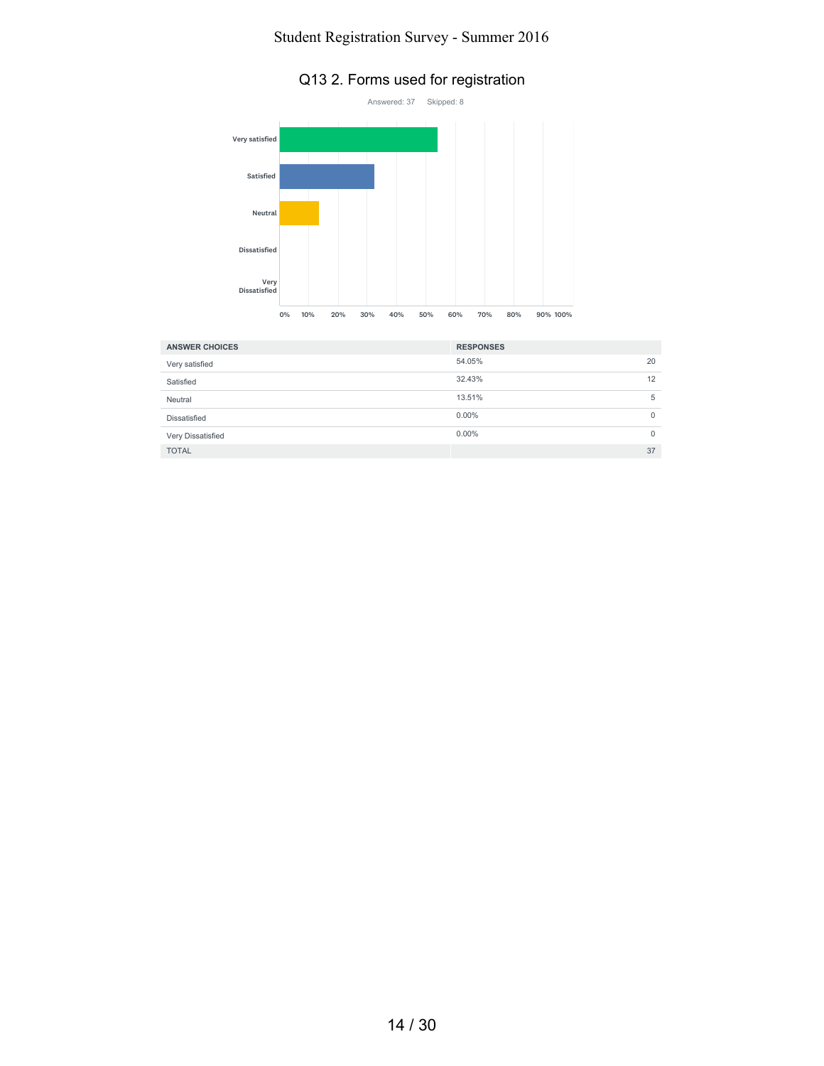# Q13 2. Forms used for registration



| <b>ANSWER CHOICES</b> | <b>RESPONSES</b> |              |
|-----------------------|------------------|--------------|
| Very satisfied        | 54.05%           | 20           |
| Satisfied             | 32.43%           | 12           |
| Neutral               | 13.51%           | 5            |
| Dissatisfied          | $0.00\%$         | 0            |
| Very Dissatisfied     | $0.00\%$         | $\mathbf{0}$ |
| <b>TOTAL</b>          |                  | 37           |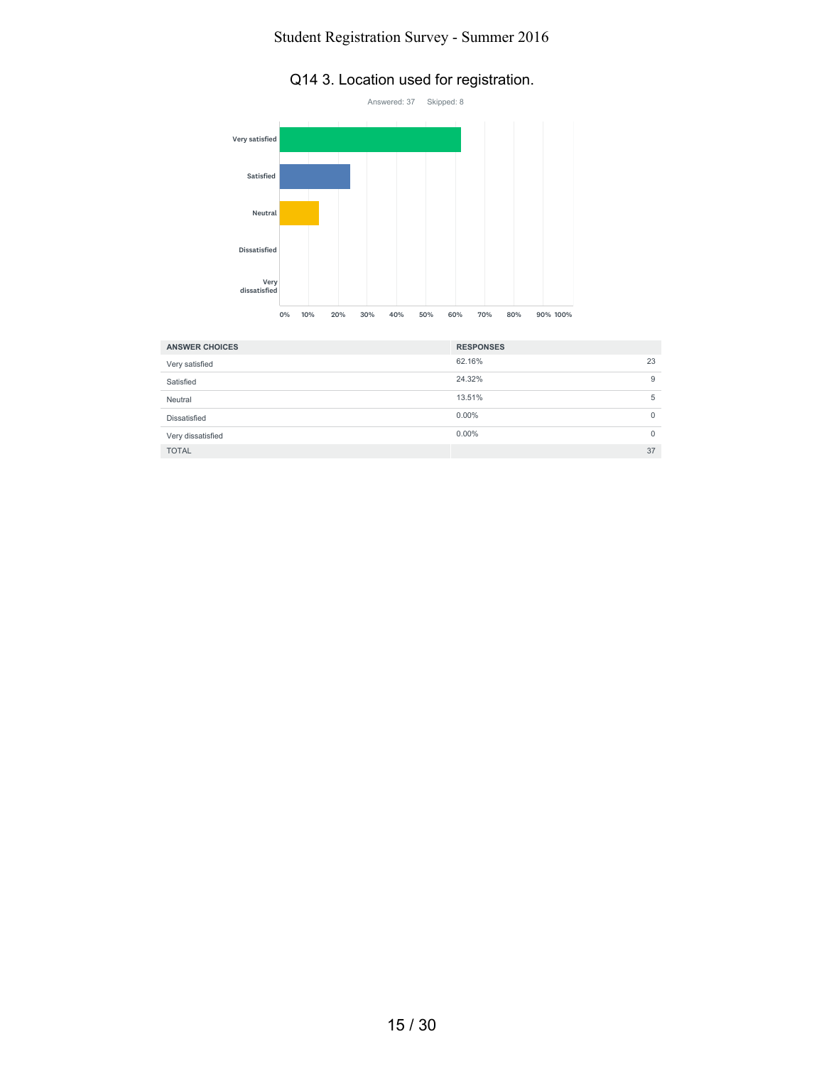# Q14 3. Location used for registration.



| <b>ANSWER CHOICES</b> | <b>RESPONSES</b> |    |
|-----------------------|------------------|----|
| Very satisfied        | 62.16%           | 23 |
| Satisfied             | 24.32%           | 9  |
| Neutral               | 13.51%           | 5  |
| Dissatisfied          | $0.00\%$         | 0  |
| Very dissatisfied     | $0.00\%$         | 0  |
| <b>TOTAL</b>          |                  | 37 |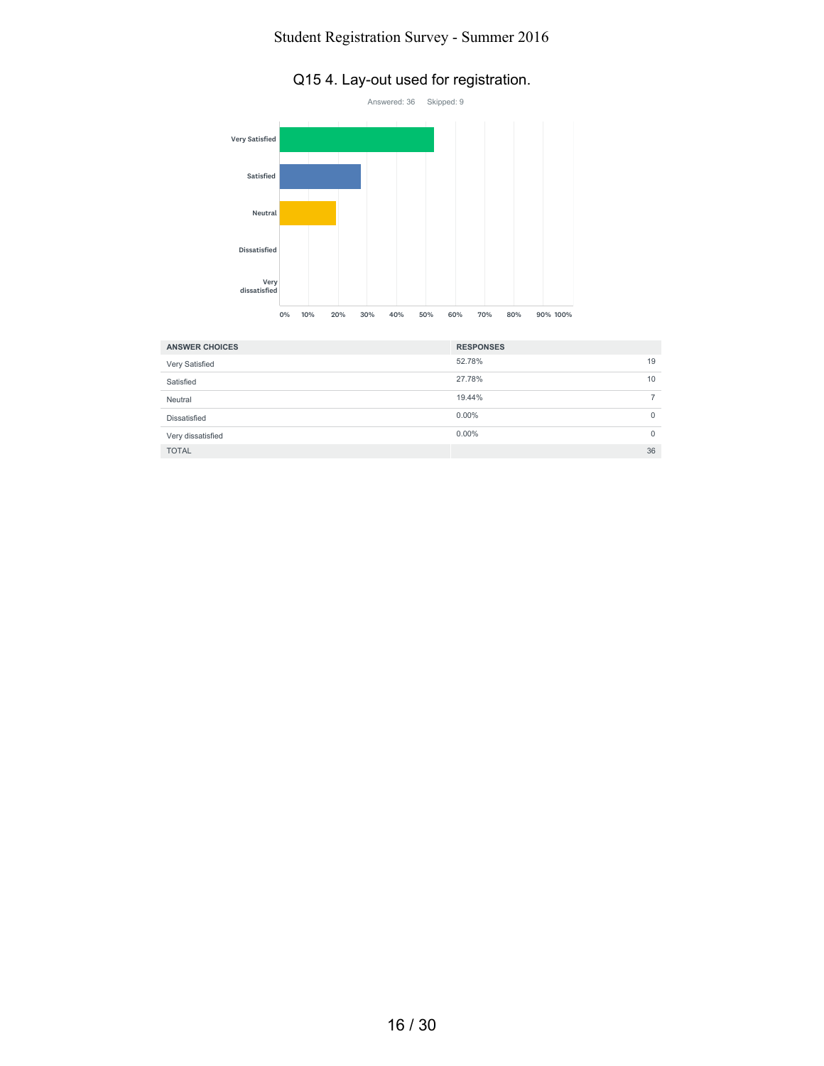# Q15 4. Lay-out used for registration.



| <b>ANSWER CHOICES</b> | <b>RESPONSES</b> |              |
|-----------------------|------------------|--------------|
| Very Satisfied        | 52.78%           | 19           |
| Satisfied             | 27.78%           | 10           |
| Neutral               | 19.44%           |              |
| Dissatisfied          | $0.00\%$         | 0            |
| Very dissatisfied     | $0.00\%$         | $\mathbf{0}$ |
| <b>TOTAL</b>          |                  | 36           |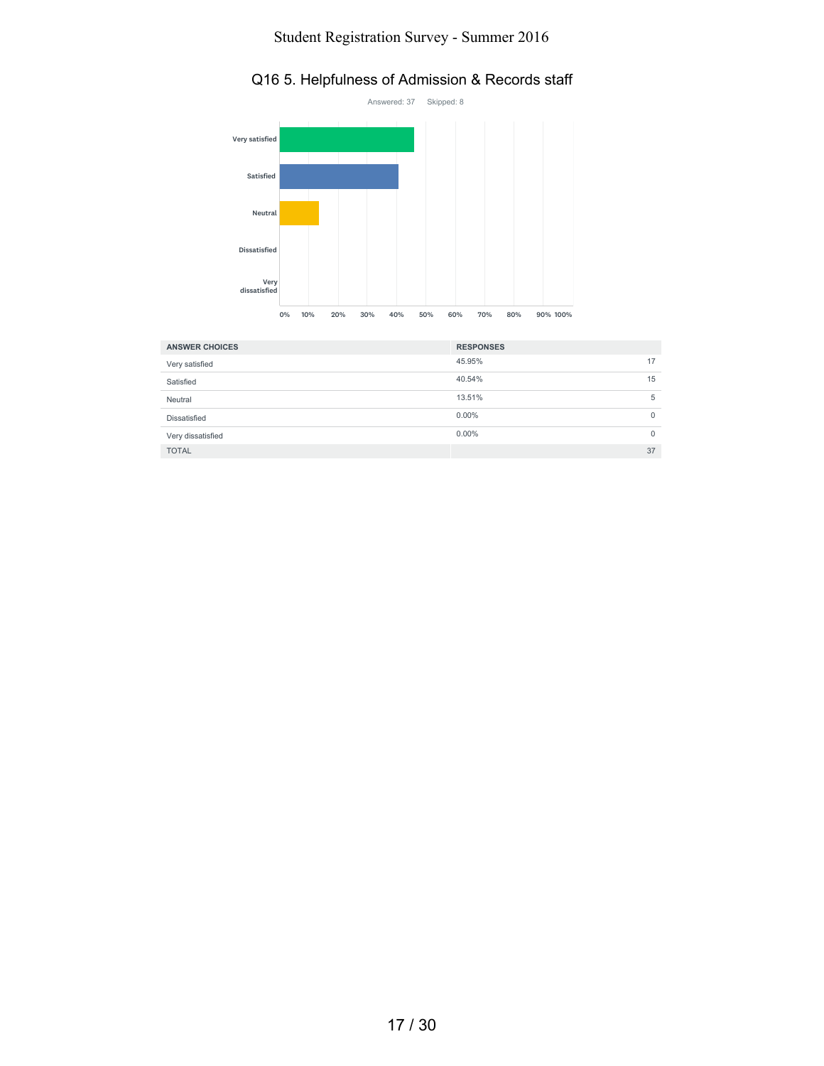## Q16 5. Helpfulness of Admission & Records staff



| <b>ANSWER CHOICES</b> | <b>RESPONSES</b> |              |
|-----------------------|------------------|--------------|
| Very satisfied        | 45.95%           | 17           |
| Satisfied             | 40.54%           | 15           |
| Neutral               | 13.51%           | 5            |
| Dissatisfied          | $0.00\%$         | $\mathbf{0}$ |
| Very dissatisfied     | $0.00\%$         | $\Omega$     |
| <b>TOTAL</b>          |                  | 37           |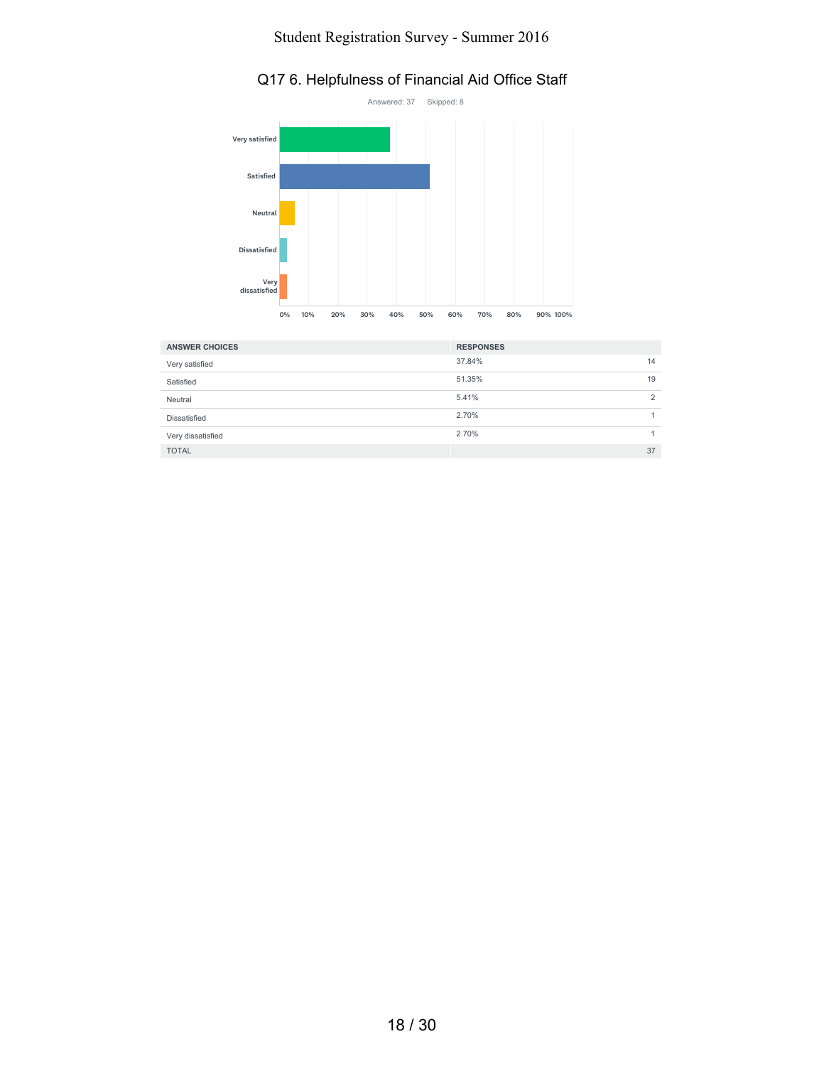## Q17 6. Helpfulness of Financial Aid Office Staff



| <b>ANSWER CHOICES</b> | <b>RESPONSES</b> |    |
|-----------------------|------------------|----|
| Very satisfied        | 37.84%           | 14 |
| Satisfied             | 51.35%           | 19 |
| Neutral               | 5.41%            | 2  |
| Dissatisfied          | 2.70%            | и  |
| Very dissatisfied     | 2.70%            | 1  |
| <b>TOTAL</b>          |                  | 37 |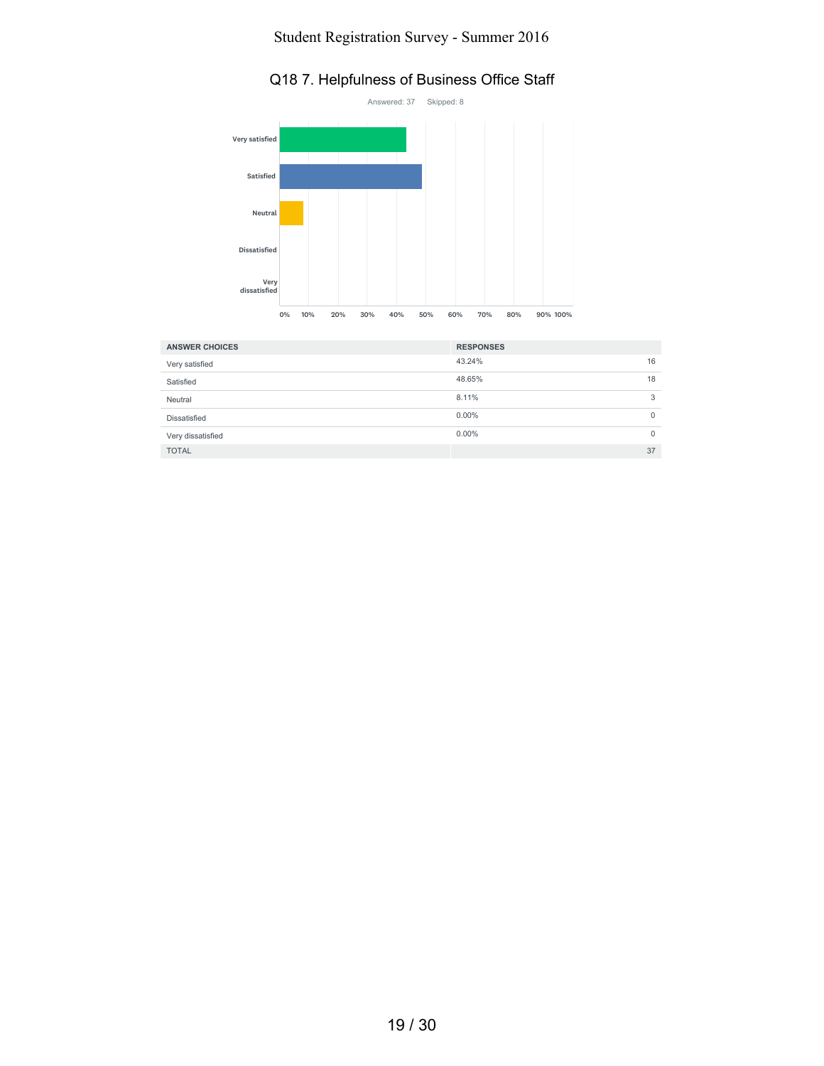## Q18 7. Helpfulness of Business Office Staff



| <b>ANSWER CHOICES</b> | <b>RESPONSES</b> |          |
|-----------------------|------------------|----------|
| Very satisfied        | 43.24%           | 16       |
| Satisfied             | 48.65%           | 18       |
| Neutral               | 8.11%            | 3        |
| Dissatisfied          | $0.00\%$         | 0        |
| Very dissatisfied     | $0.00\%$         | $\Omega$ |
| <b>TOTAL</b>          |                  | 37       |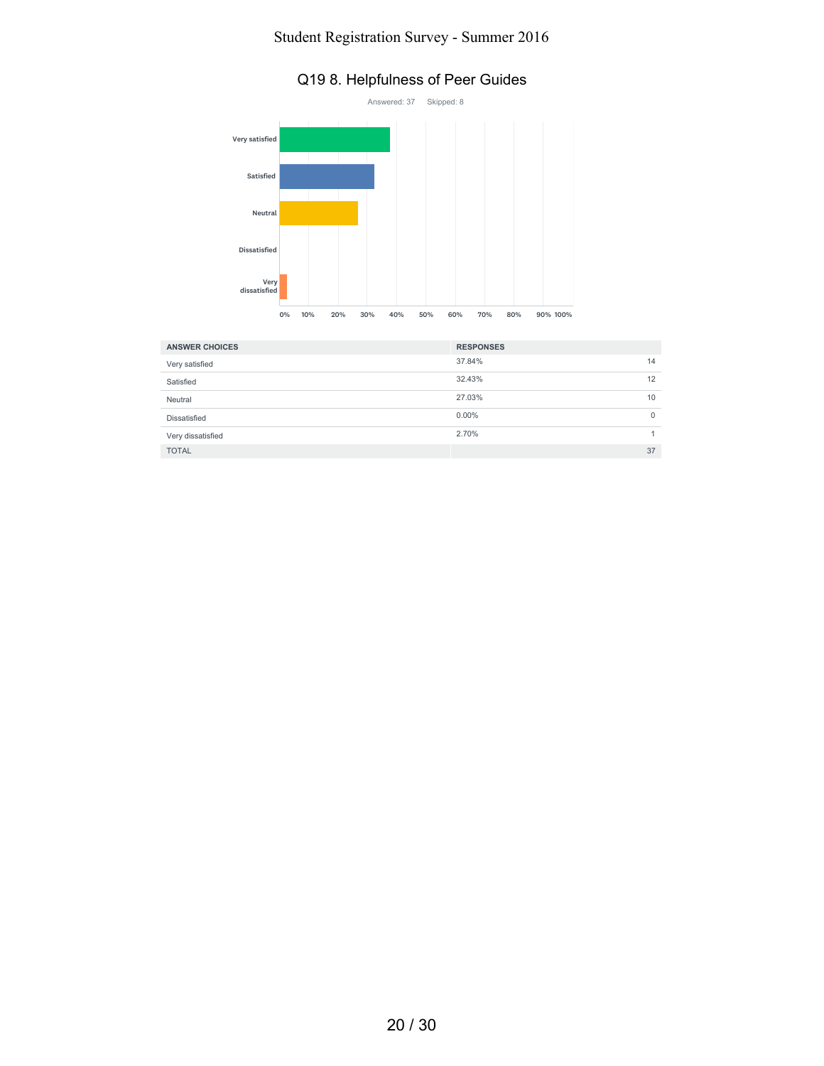#### Q19 8. Helpfulness of Peer Guides



| <b>ANSWER CHOICES</b> | <b>RESPONSES</b> |    |
|-----------------------|------------------|----|
| Very satisfied        | 37.84%           | 14 |
| Satisfied             | 32.43%           | 12 |
| Neutral               | 27.03%           | 10 |
| Dissatisfied          | $0.00\%$         | 0  |
| Very dissatisfied     | 2.70%            |    |
| <b>TOTAL</b>          |                  | 37 |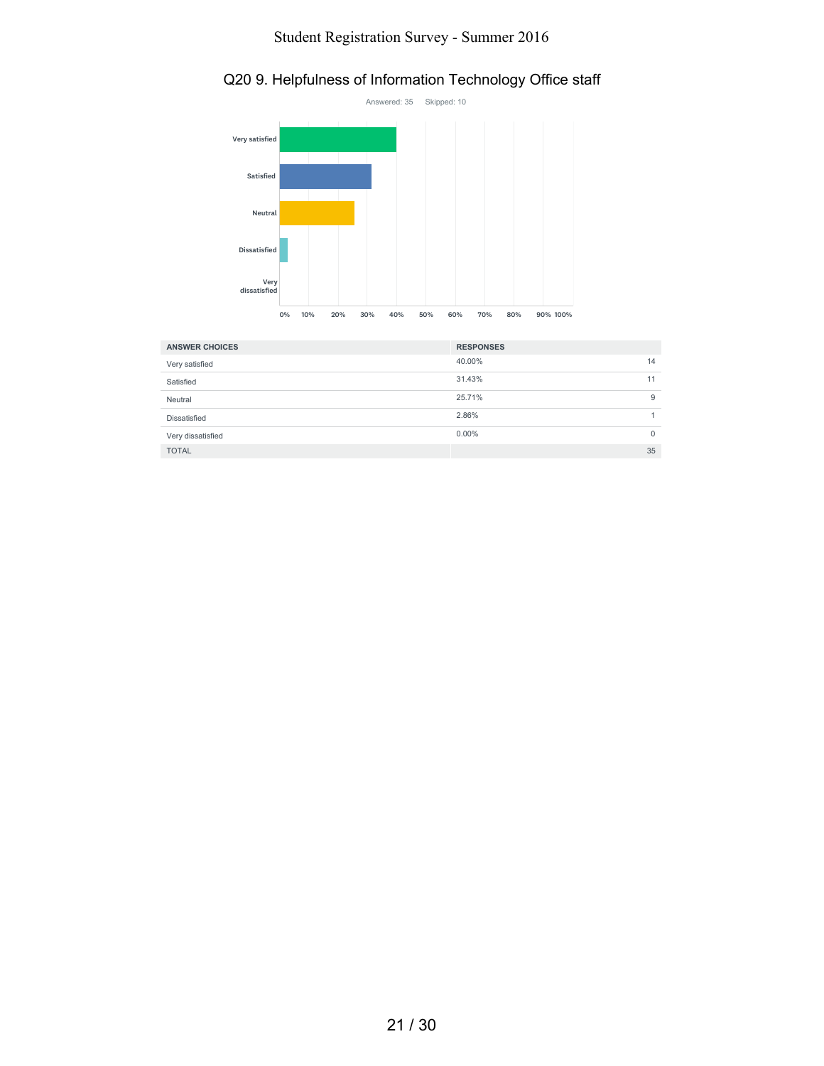# Q20 9. Helpfulness of Information Technology Office staff



| <b>ANSWER CHOICES</b> | <b>RESPONSES</b> |              |
|-----------------------|------------------|--------------|
| Very satisfied        | 40.00%           | 14           |
| Satisfied             | 31.43%           | 11           |
| Neutral               | 25.71%           | 9            |
| Dissatisfied          | 2.86%            | и            |
| Very dissatisfied     | $0.00\%$         | $\mathbf{0}$ |
| <b>TOTAL</b>          |                  | 35           |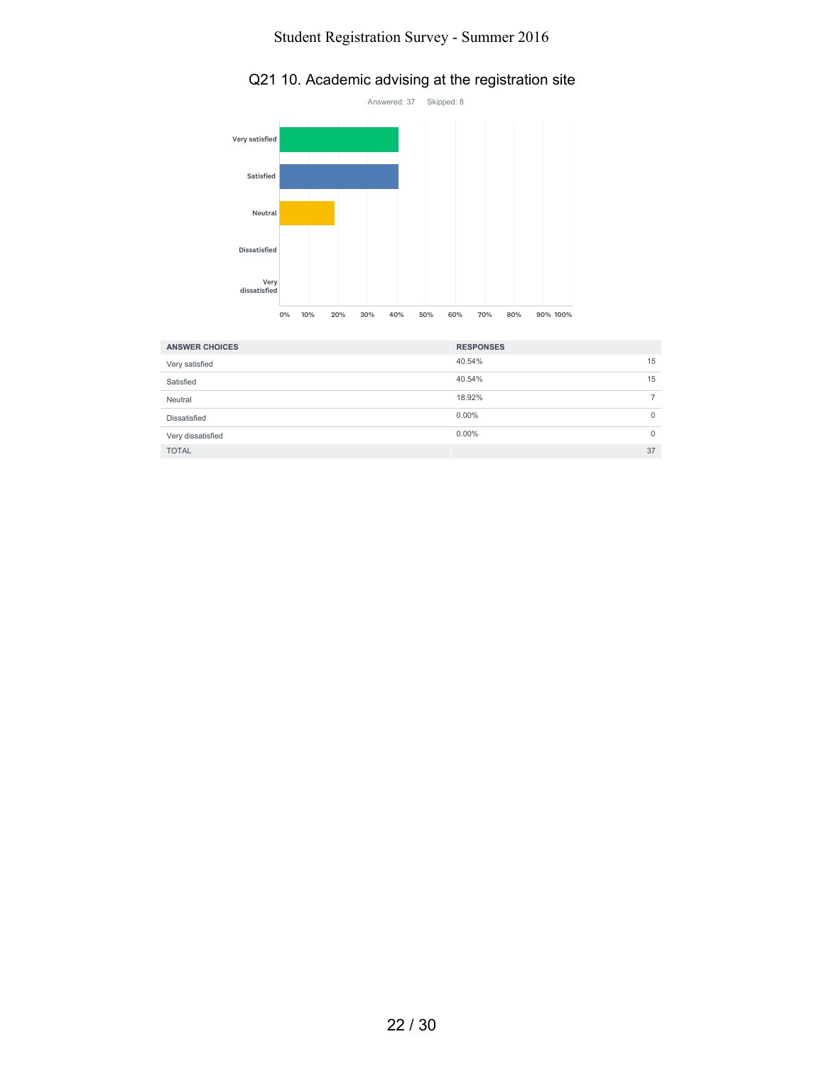## Q21 10. Academic advising at the registration site



| <b>ANSWER CHOICES</b> | <b>RESPONSES</b> |              |
|-----------------------|------------------|--------------|
| Very satisfied        | 40.54%           | 15           |
| Satisfied             | 40.54%           | 15           |
| Neutral               | 18.92%           |              |
| Dissatisfied          | $0.00\%$         | 0            |
| Very dissatisfied     | $0.00\%$         | $\mathbf{0}$ |
| <b>TOTAL</b>          |                  | 37           |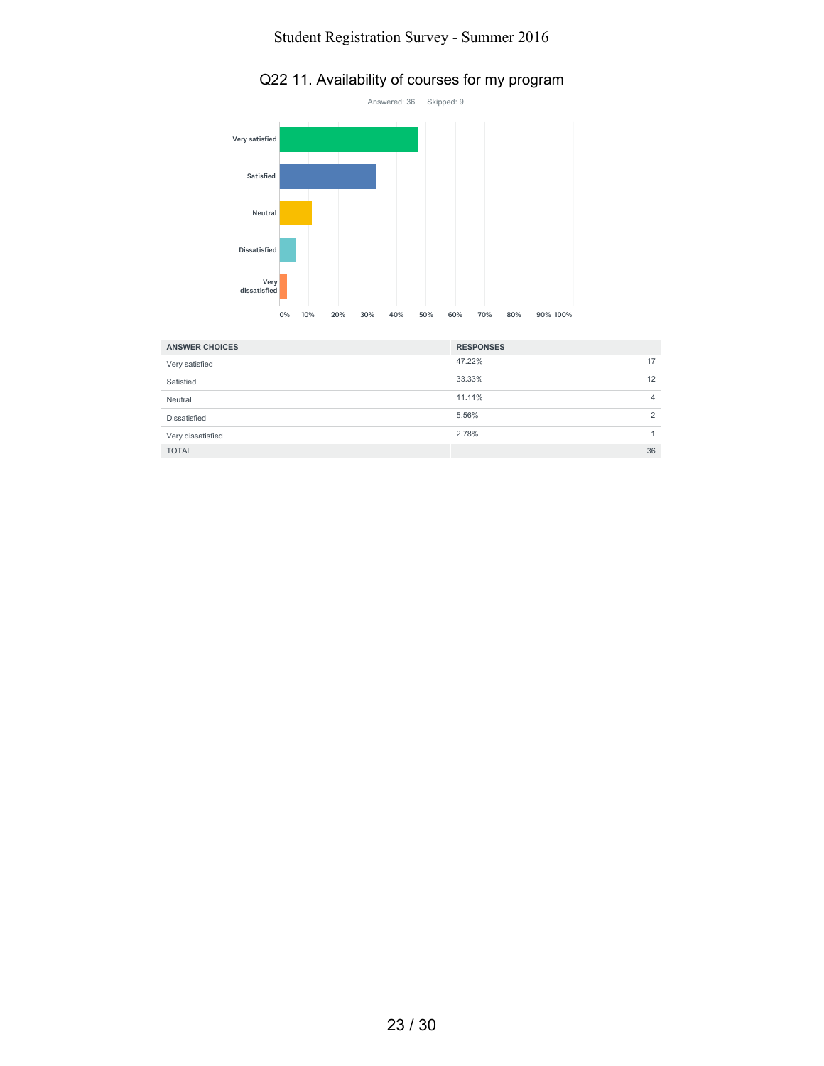## Q22 11. Availability of courses for my program



| <b>ANSWER CHOICES</b> | <b>RESPONSES</b> |                |
|-----------------------|------------------|----------------|
| Very satisfied        | 47.22%           | 17             |
| Satisfied             | 33.33%           | 12             |
| Neutral               | 11.11%           | 4              |
| Dissatisfied          | 5.56%            | $\overline{2}$ |
| Very dissatisfied     | 2.78%            |                |
| <b>TOTAL</b>          |                  | 36             |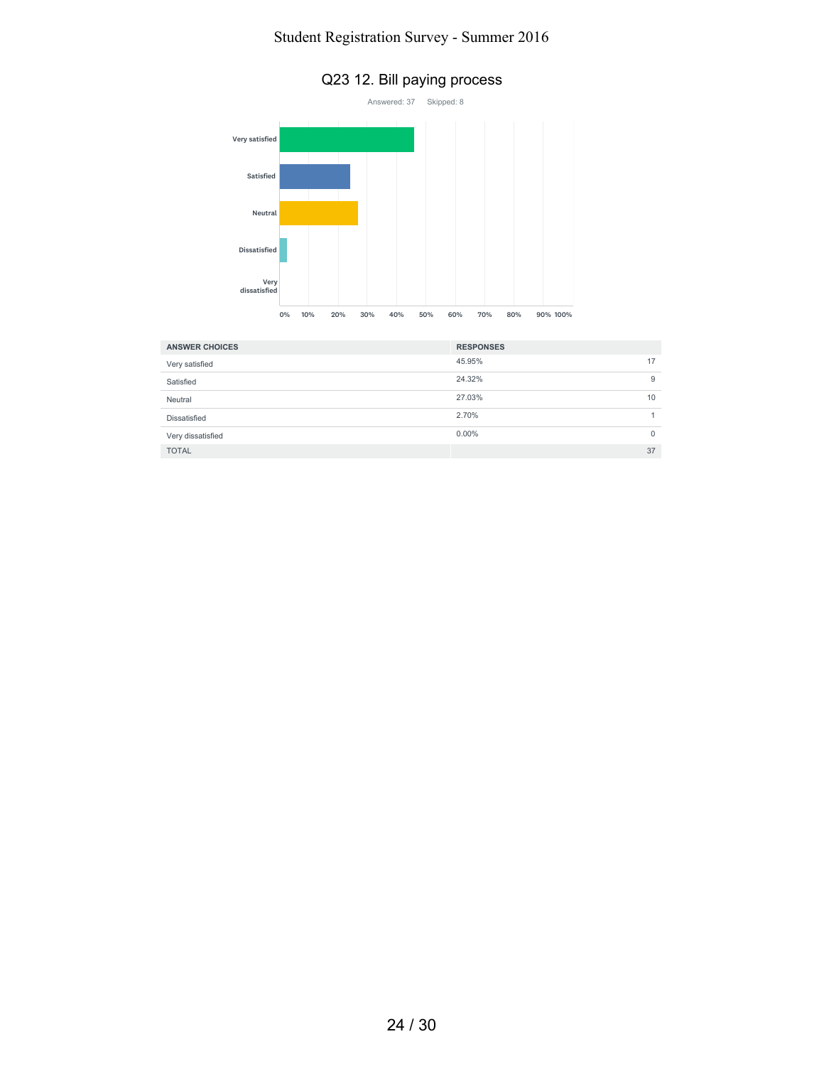## Q23 12. Bill paying process



| <b>ANSWER CHOICES</b> | <b>RESPONSES</b> |              |
|-----------------------|------------------|--------------|
| Very satisfied        | 45.95%           | 17           |
| Satisfied             | 24.32%           | 9            |
| Neutral               | 27.03%           | 10           |
| Dissatisfied          | 2.70%            |              |
| Very dissatisfied     | $0.00\%$         | $\mathbf{0}$ |
| <b>TOTAL</b>          |                  | 37           |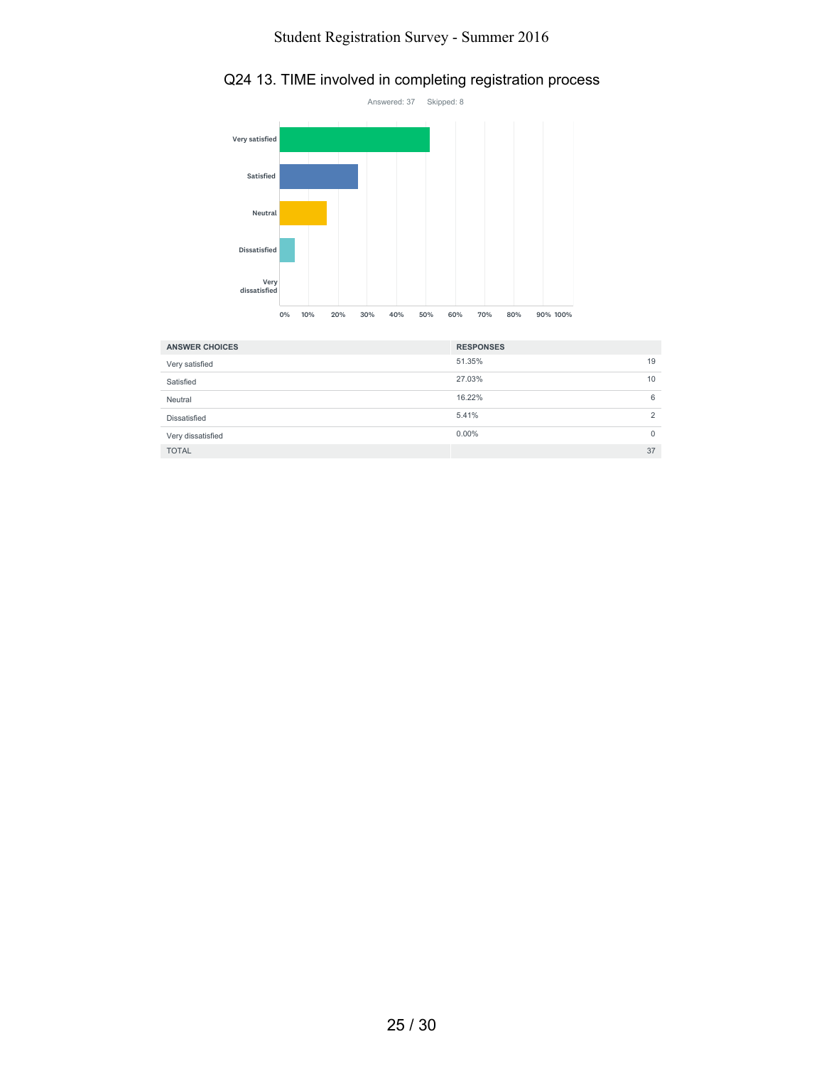## Q24 13. TIME involved in completing registration process



| <b>ANSWER CHOICES</b> | <b>RESPONSES</b> |                |
|-----------------------|------------------|----------------|
| Very satisfied        | 51.35%           | 19             |
| Satisfied             | 27.03%           | 10             |
| Neutral               | 16.22%           | 6              |
| Dissatisfied          | 5.41%            | $\overline{2}$ |
| Very dissatisfied     | $0.00\%$         | $\mathbf{0}$   |
| <b>TOTAL</b>          |                  | 37             |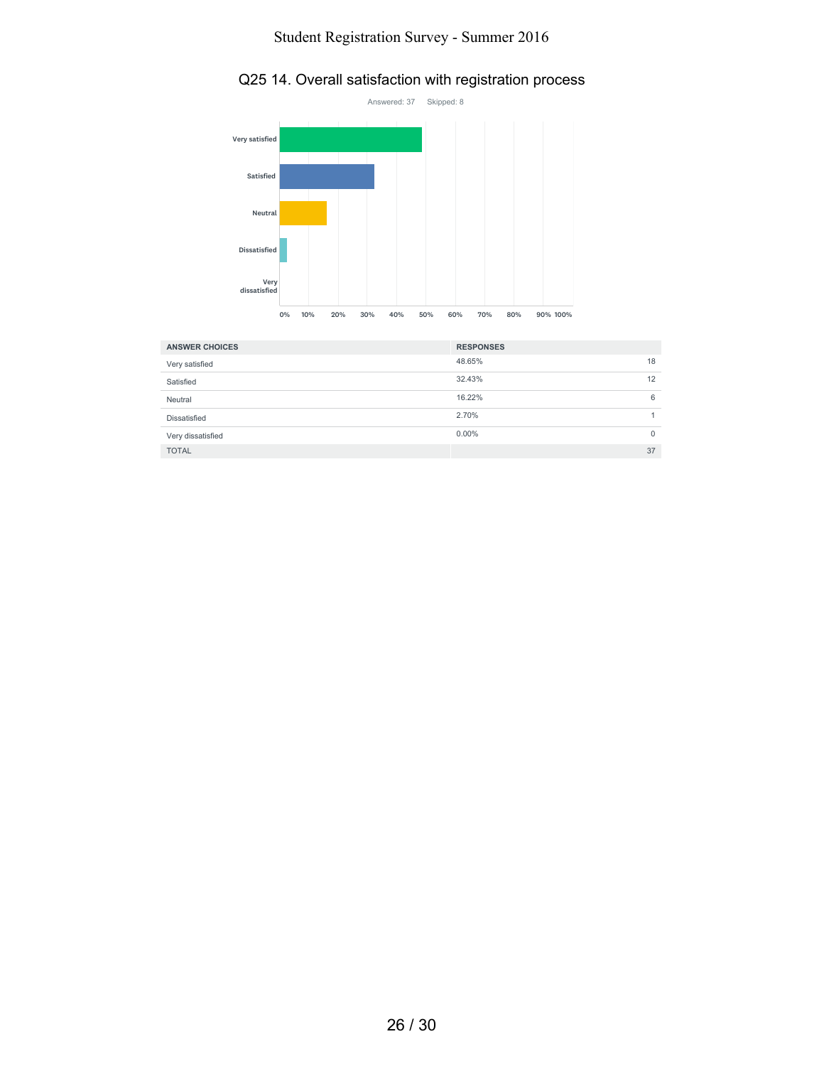## Q25 14. Overall satisfaction with registration process



| <b>ANSWER CHOICES</b> | <b>RESPONSES</b> |          |
|-----------------------|------------------|----------|
| Very satisfied        | 48.65%           | 18       |
| Satisfied             | 32.43%           | 12       |
| Neutral               | 16.22%           | 6        |
| Dissatisfied          | 2.70%            |          |
| Very dissatisfied     | $0.00\%$         | $\Omega$ |
| <b>TOTAL</b>          |                  | 37       |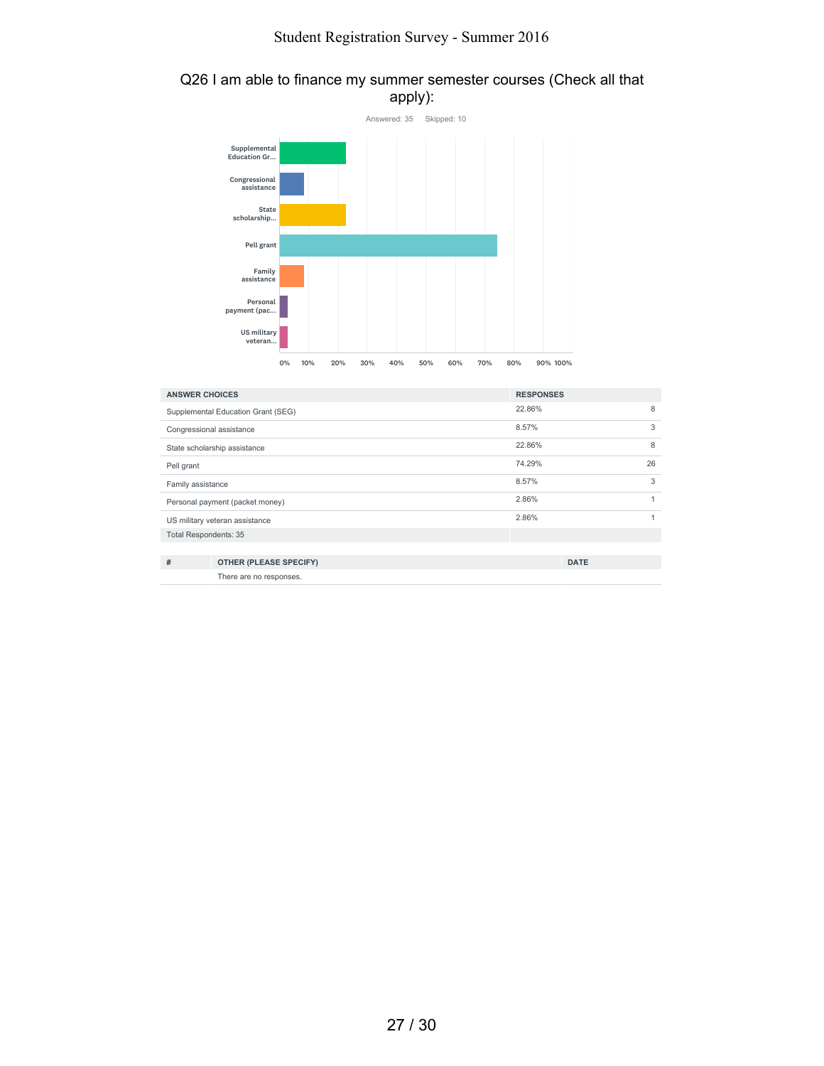

#### Q26 I am able to finance my summer semester courses (Check all that apply):

| <b>ANSWER CHOICES</b>              |                               | <b>RESPONSES</b> |             |    |
|------------------------------------|-------------------------------|------------------|-------------|----|
| Supplemental Education Grant (SEG) |                               | 22.86%           |             | 8  |
| Congressional assistance           |                               | 8.57%            |             | 3  |
| State scholarship assistance       |                               | 22.86%           |             | 8  |
| Pell grant                         |                               | 74.29%           |             | 26 |
| Family assistance                  |                               | 8.57%            |             | 3  |
| Personal payment (packet money)    |                               | 2.86%            |             | 1  |
| US military veteran assistance     |                               | 2.86%            |             | 1  |
| Total Respondents: 35              |                               |                  |             |    |
|                                    |                               |                  |             |    |
| #                                  | <b>OTHER (PLEASE SPECIFY)</b> |                  | <b>DATE</b> |    |
|                                    | There are no responses.       |                  |             |    |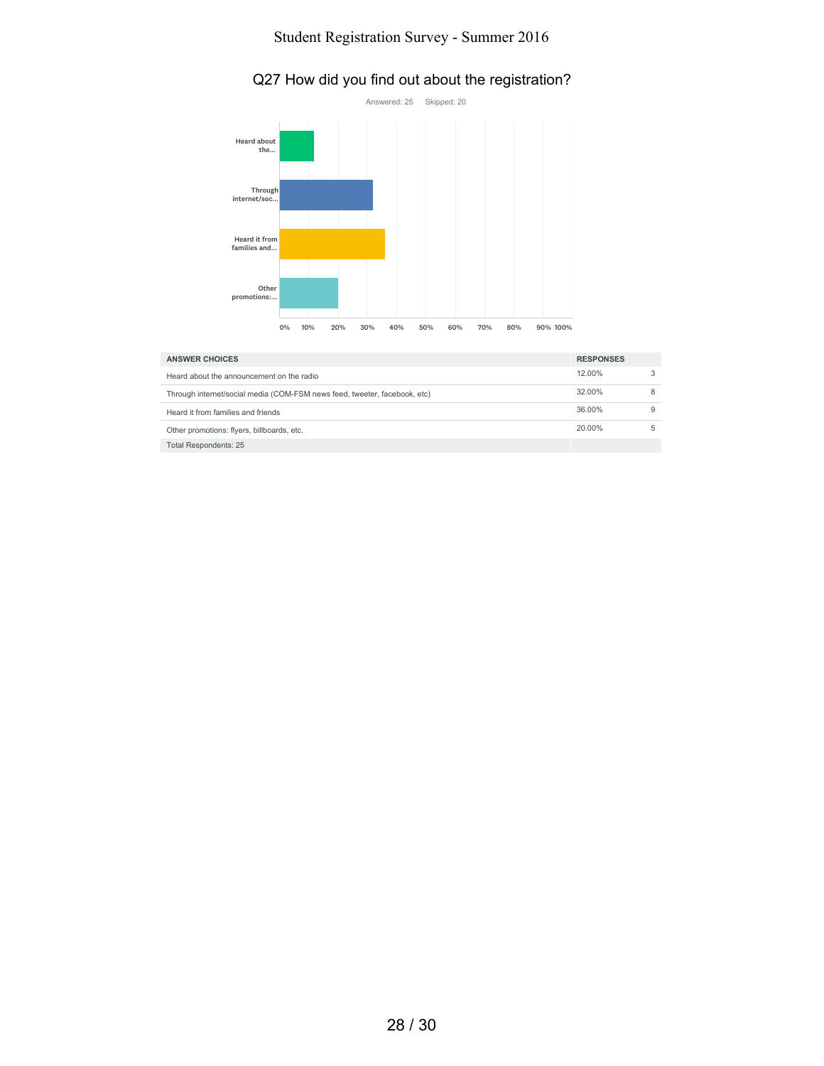## Q27 How did you find out about the registration?



| <b>ANSWER CHOICES</b>                                                     | <b>RESPONSES</b> |  |
|---------------------------------------------------------------------------|------------------|--|
| Heard about the announcement on the radio                                 | 12.00%           |  |
| Through internet/social media (COM-FSM news feed, tweeter, facebook, etc) | 32.00%           |  |
| Heard it from families and friends                                        | 36.00%           |  |
| Other promotions: flyers, billboards, etc.                                | 20.00%           |  |
| Total Respondents: 25                                                     |                  |  |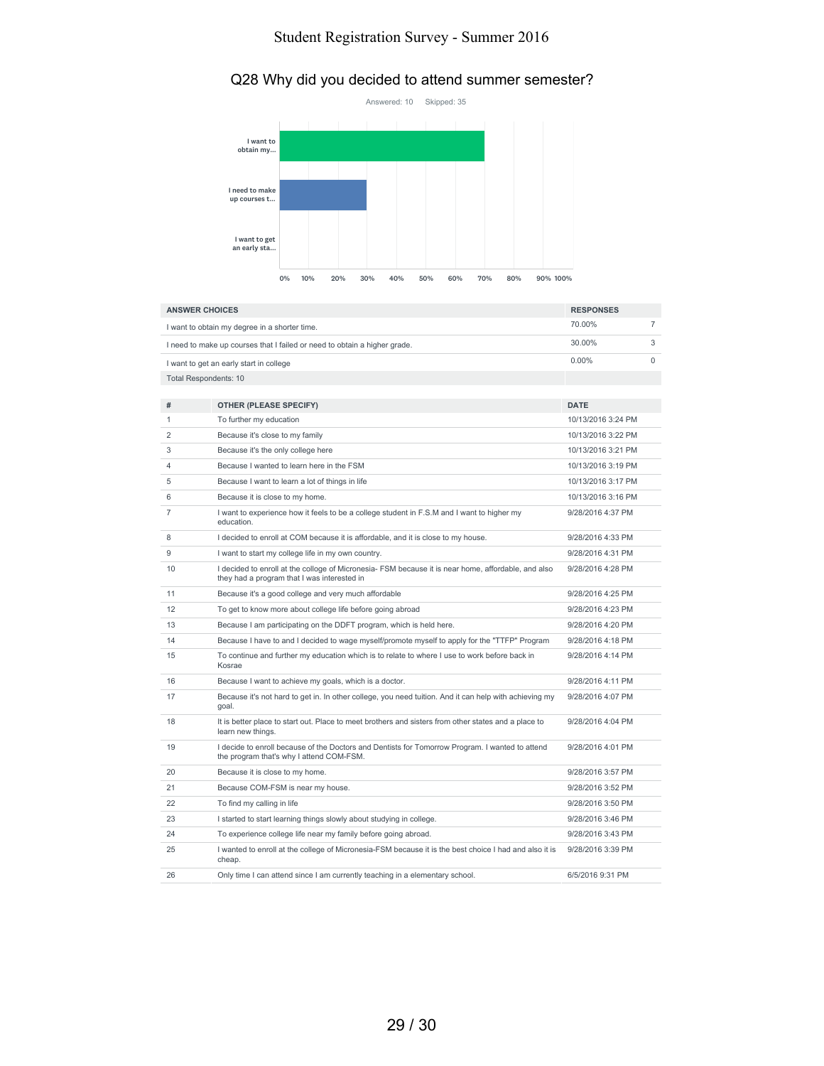## Q28 Why did you decided to attend summer semester?



| <b>ANSWER CHOICES</b> |                                                                                                                                                    | <b>RESPONSES</b>   |                |
|-----------------------|----------------------------------------------------------------------------------------------------------------------------------------------------|--------------------|----------------|
|                       | I want to obtain my degree in a shorter time.                                                                                                      | 70.00%             | $\overline{7}$ |
|                       | I need to make up courses that I failed or need to obtain a higher grade.                                                                          | 30.00%             | 3              |
|                       | I want to get an early start in college                                                                                                            | $0.00\%$           | $\mathbf 0$    |
|                       | <b>Total Respondents: 10</b>                                                                                                                       |                    |                |
|                       |                                                                                                                                                    |                    |                |
| #                     | <b>OTHER (PLEASE SPECIFY)</b>                                                                                                                      | <b>DATE</b>        |                |
| 1                     | To further my education                                                                                                                            | 10/13/2016 3:24 PM |                |
| 2                     | Because it's close to my family                                                                                                                    | 10/13/2016 3:22 PM |                |
| 3                     | Because it's the only college here                                                                                                                 | 10/13/2016 3:21 PM |                |
| 4                     | Because I wanted to learn here in the FSM                                                                                                          | 10/13/2016 3:19 PM |                |
| 5                     | Because I want to learn a lot of things in life                                                                                                    | 10/13/2016 3:17 PM |                |
| 6                     | Because it is close to my home.                                                                                                                    | 10/13/2016 3:16 PM |                |
| 7                     | I want to experience how it feels to be a college student in F.S.M and I want to higher my<br>education.                                           | 9/28/2016 4:37 PM  |                |
| 8                     | I decided to enroll at COM because it is affordable, and it is close to my house.                                                                  | 9/28/2016 4:33 PM  |                |
| 9                     | I want to start my college life in my own country.                                                                                                 | 9/28/2016 4:31 PM  |                |
| 10                    | I decided to enroll at the colloge of Micronesia- FSM because it is near home, affordable, and also<br>they had a program that I was interested in | 9/28/2016 4:28 PM  |                |
| 11                    | Because it's a good college and very much affordable                                                                                               | 9/28/2016 4:25 PM  |                |
| 12                    | To get to know more about college life before going abroad                                                                                         | 9/28/2016 4:23 PM  |                |
| 13                    | Because I am participating on the DDFT program, which is held here.                                                                                | 9/28/2016 4:20 PM  |                |
| 14                    | Because I have to and I decided to wage myself/promote myself to apply for the "TTFP" Program                                                      | 9/28/2016 4:18 PM  |                |
| 15                    | To continue and further my education which is to relate to where I use to work before back in<br>Kosrae                                            | 9/28/2016 4:14 PM  |                |
| 16                    | Because I want to achieve my goals, which is a doctor.                                                                                             | 9/28/2016 4:11 PM  |                |
| 17                    | Because it's not hard to get in. In other college, you need tuition. And it can help with achieving my<br>goal.                                    | 9/28/2016 4:07 PM  |                |
| 18                    | It is better place to start out. Place to meet brothers and sisters from other states and a place to<br>learn new things.                          | 9/28/2016 4:04 PM  |                |
| 19                    | I decide to enroll because of the Doctors and Dentists for Tomorrow Program. I wanted to attend<br>the program that's why I attend COM-FSM.        | 9/28/2016 4:01 PM  |                |
| 20                    | Because it is close to my home.                                                                                                                    | 9/28/2016 3:57 PM  |                |
| 21                    | Because COM-FSM is near my house.                                                                                                                  | 9/28/2016 3:52 PM  |                |
| 22                    | To find my calling in life                                                                                                                         | 9/28/2016 3:50 PM  |                |
| 23                    | I started to start learning things slowly about studying in college.                                                                               | 9/28/2016 3:46 PM  |                |
| 24                    | To experience college life near my family before going abroad.                                                                                     | 9/28/2016 3:43 PM  |                |
| 25                    | I wanted to enroll at the college of Micronesia-FSM because it is the best choice I had and also it is<br>cheap.                                   | 9/28/2016 3:39 PM  |                |
| 26                    | Only time I can attend since I am currently teaching in a elementary school.                                                                       | 6/5/2016 9:31 PM   |                |